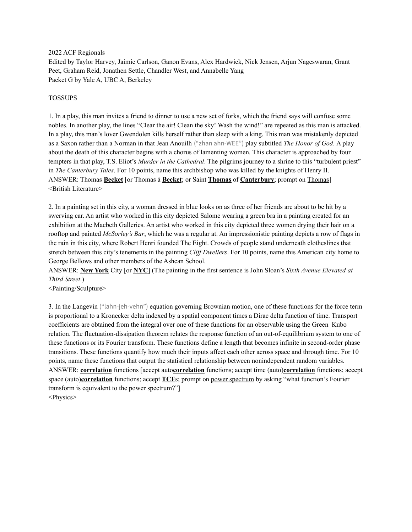### 2022 ACF Regionals

Edited by Taylor Harvey, Jaimie Carlson, Ganon Evans, Alex Hardwick, Nick Jensen, Arjun Nageswaran, Grant Peet, Graham Reid, Jonathen Settle, Chandler West, and Annabelle Yang Packet G by Yale A, UBC A, Berkeley

### TOSSUPS

1. In a play, this man invites a friend to dinner to use a new set of forks, which the friend says will confuse some nobles. In another play, the lines "Clear the air! Clean the sky! Wash the wind!" are repeated as this man is attacked. In a play, this man's lover Gwendolen kills herself rather than sleep with a king. This man was mistakenly depicted as a Saxon rather than a Norman in that Jean Anouilh ("zhan ahn-WEE") play subtitled *The Honor of God*. A play about the death of this character begins with a chorus of lamenting women. This character is approached by four tempters in that play, T.S. Eliot's *Murder in the Cathedral*. The pilgrims journey to a shrine to this "turbulent priest" in *The Canterbury Tales*. For 10 points, name this archbishop who was killed by the knights of Henry II. ANSWER: Thomas **Becket** [or Thomas à **Becket**; or Saint **Thomas** of **Canterbury**; prompt on Thomas] <British Literature>

2. In a painting set in this city, a woman dressed in blue looks on as three of her friends are about to be hit by a swerving car. An artist who worked in this city depicted Salome wearing a green bra in a painting created for an exhibition at the Macbeth Galleries. An artist who worked in this city depicted three women drying their hair on a rooftop and painted *McSorley's Bar*, which he was a regular at. An impressionistic painting depicts a row of flags in the rain in this city, where Robert Henri founded The Eight. Crowds of people stand underneath clotheslines that stretch between this city's tenements in the painting *Clif Dwellers*. For 10 points, name this American city home to George Bellows and other members of the Ashcan School.

ANSWER: **New York** City [or **NYC**] (The painting in the first sentence is John Sloan's *Sixth Avenue Elevated at Third Street*.)

<Painting/Sculpture>

3. In the Langevin ("lahn-jeh-vehn") equation governing Brownian motion, one of these functions for the force term is proportional to a Kronecker delta indexed by a spatial component times a Dirac delta function of time. Transport coefficients are obtained from the integral over one of these functions for an observable using the Green–Kubo relation. The fluctuation-dissipation theorem relates the response function of an out-of-equilibrium system to one of these functions or its Fourier transform. These functions define a length that becomes infinite in second-order phase transitions. These functions quantify how much their inputs affect each other across space and through time. For 10 points, name these functions that output the statistical relationship between nonindependent random variables. ANSWER: **correlation** functions [accept auto**correlation** functions; accept time (auto)**correlation** functions; accept space (auto)**correlation** functions; accept **TCF**s; prompt on power spectrum by asking "what function's Fourier transform is equivalent to the power spectrum?"] <Physics>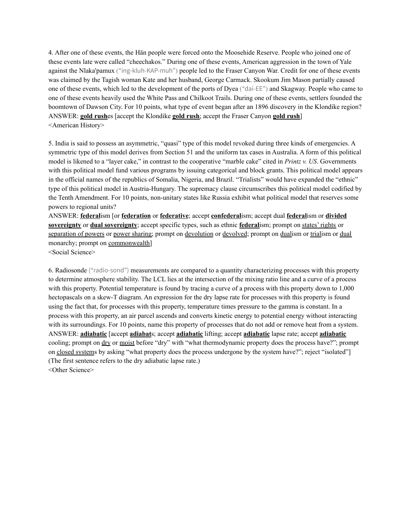4. After one of these events, the Hän people were forced onto the Moosehide Reserve. People who joined one of these events late were called "cheechakos." During one of these events, American aggression in the town of Yale against the Nlaka'pamux ("ing-kluh-KAP-muh") people led to the Fraser Canyon War. Credit for one of these events was claimed by the Tagish woman Kate and her husband, George Carmack. Skookum Jim Mason partially caused one of these events, which led to the development of the ports of Dyea ("dai-EE") and Skagway. People who came to one of these events heavily used the White Pass and Chilkoot Trails. During one of these events, settlers founded the boomtown of Dawson City. For 10 points, what type of event began after an 1896 discovery in the Klondike region? ANSWER: **gold rush**es [accept the Klondike **gold rush**; accept the Fraser Canyon **gold rush**] <American History>

5. India is said to possess an asymmetric, "quasi" type of this model revoked during three kinds of emergencies. A symmetric type of this model derives from Section 51 and the uniform tax cases in Australia. A form of this political model is likened to a "layer cake," in contrast to the cooperative "marble cake" cited in *Printz v. US*. Governments with this political model fund various programs by issuing categorical and block grants. This political model appears in the official names of the republics of Somalia, Nigeria, and Brazil. "Trialists" would have expanded the "ethnic" type of this political model in Austria-Hungary. The supremacy clause circumscribes this political model codified by the Tenth Amendment. For 10 points, non-unitary states like Russia exhibit what political model that reserves some powers to regional units?

ANSWER: **federal**ism [or **federation** or **federative**; accept **confederal**ism; accept dual **federal**ism or **divided sovereignty** or **dual sovereignty**; accept specific types, such as ethnic **federal**ism; prompt on states' rights or separation of powers or power sharing; prompt on devolution or devolved; prompt on dualism or trialism or dual monarchy; prompt on commonwealth]

<Social Science>

6. Radiosonde ("radio-sond") measurements are compared to a quantity characterizing processes with this property to determine atmosphere stability. The LCL lies at the intersection of the mixing ratio line and a curve of a process with this property. Potential temperature is found by tracing a curve of a process with this property down to 1,000 hectopascals on a skew-T diagram. An expression for the dry lapse rate for processes with this property is found using the fact that, for processes with this property, temperature times pressure to the gamma is constant. In a process with this property, an air parcel ascends and converts kinetic energy to potential energy without interacting with its surroundings. For 10 points, name this property of processes that do not add or remove heat from a system. ANSWER: **adiabatic** [accept **adiabat**s; accept **adiabatic** lifting; accept **adiabatic** lapse rate; accept **adiabatic** cooling; prompt on dry or moist before "dry" with "what thermodynamic property does the process have?"; prompt on closed systems by asking "what property does the process undergone by the system have?"; reject "isolated"] (The first sentence refers to the dry adiabatic lapse rate.) <Other Science>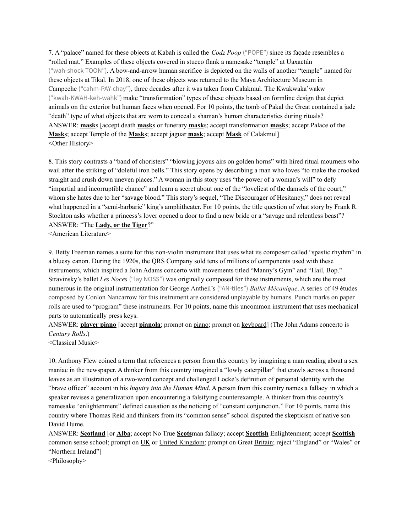7. A "palace" named for these objects at Kabah is called the *Codz Poop* ("POPE") since its façade resembles a "rolled mat." Examples of these objects covered in stucco flank a namesake "temple" at Uaxactún ("wah-shock-TOON"). A bow-and-arrow human sacrifice is depicted on the walls of another "temple" named for these objects at Tikal. In 2018, one of these objects was returned to the Maya Architecture Museum in Campeche ("cahm-PAY-chay"), three decades after it was taken from Calakmul. The Kwakwaka'wakw ("kwah-KWAH-keh-wahk") make "transformation" types of these objects based on formline design that depict animals on the exterior but human faces when opened. For 10 points, the tomb of Pakal the Great contained a jade "death" type of what objects that are worn to conceal a shaman's human characteristics during rituals? ANSWER: **mask**s [accept death **mask**s or funerary **mask**s; accept transformation **mask**s; accept Palace of the **Mask**s; accept Temple of the **Mask**s; accept jaguar **mask**; accept **Mask** of Calakmul] <Other History>

8. This story contrasts a "band of choristers" "blowing joyous airs on golden horns" with hired ritual mourners who wail after the striking of "doleful iron bells." This story opens by describing a man who loves "to make the crooked straight and crush down uneven places." A woman in this story uses "the power of a woman's will" to defy "impartial and incorruptible chance" and learn a secret about one of the "loveliest of the damsels of the court," whom she hates due to her "savage blood." This story's sequel, "The Discourager of Hesitancy," does not reveal what happened in a "semi-barbaric" king's amphitheater. For 10 points, the title question of what story by Frank R. Stockton asks whether a princess's lover opened a door to find a new bride or a "savage and relentless beast"? ANSWER: "The **Lady, or the Tiger**?"

<American Literature>

9. Betty Freeman names a suite for this non-violin instrument that uses what its composer called "spastic rhythm" in a bluesy canon. During the 1920s, the QRS Company sold tens of millions of components used with these instruments, which inspired a John Adams concerto with movements titled "Manny's Gym" and "Hail, Bop." Stravinsky's ballet *Les Noces* ("lay NOSS") was originally composed for these instruments, which are the most numerous in the original instrumentation for George Antheil's ("AN-tiles") *Ballet Mécanique*. A series of 49 études composed by Conlon Nancarrow for this instrument are considered unplayable by humans. Punch marks on paper rolls are used to "program" these instruments. For 10 points, name this uncommon instrument that uses mechanical parts to automatically press keys.

ANSWER: **player piano** [accept **pianola**; prompt on piano; prompt on keyboard] (The John Adams concerto is *Century Rolls*.)

<Classical Music>

10. Anthony Flew coined a term that references a person from this country by imagining a man reading about a sex maniac in the newspaper. A thinker from this country imagined a "lowly caterpillar" that crawls across a thousand leaves as an illustration of a two-word concept and challenged Locke's definition of personal identity with the "brave officer" account in his *Inquiry into the Human Mind*. A person from this country names a fallacy in which a speaker revises a generalization upon encountering a falsifying counterexample. A thinker from this country's namesake "enlightenment" defined causation as the noticing of "constant conjunction." For 10 points, name this country where Thomas Reid and thinkers from its "common sense" school disputed the skepticism of native son David Hume.

ANSWER: **Scotland** [or **Alba**; accept No True **Scots**man fallacy; accept **Scottish** Enlightenment; accept **Scottish** common sense school; prompt on UK or United Kingdom; prompt on Great Britain; reject "England" or "Wales" or "Northern Ireland"]

<Philosophy>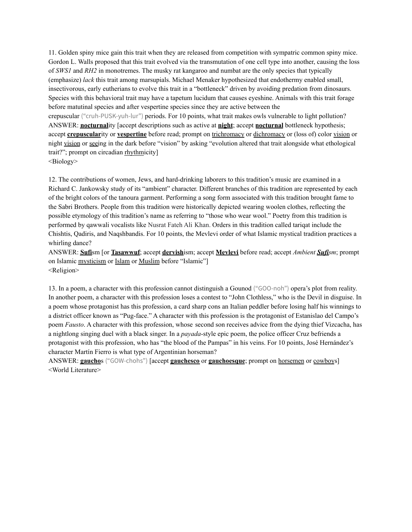11. Golden spiny mice gain this trait when they are released from competition with sympatric common spiny mice. Gordon L. Walls proposed that this trait evolved via the transmutation of one cell type into another, causing the loss of *SWS1* and *RH2* in monotremes. The musky rat kangaroo and numbat are the only species that typically (emphasize) *lack* this trait among marsupials. Michael Menaker hypothesized that endothermy enabled small, insectivorous, early eutherians to evolve this trait in a "bottleneck" driven by avoiding predation from dinosaurs. Species with this behavioral trait may have a tapetum lucidum that causes eyeshine. Animals with this trait forage before matutinal species and after vespertine species since they are active between the

crepuscular ("cruh-PUSK-yuh-lur") periods. For 10 points, what trait makes owls vulnerable to light pollution? ANSWER: **nocturnal**ity [accept descriptions such as active at **night**; accept **nocturnal** bottleneck hypothesis; accept **crepuscular**ity or **vespertine** before read; prompt on trichromacy or dichromacy or (loss of) color vision or night vision or seeing in the dark before "vision" by asking "evolution altered that trait alongside what ethological trait?"; prompt on circadian rhythmicity]

<Biology>

12. The contributions of women, Jews, and hard-drinking laborers to this tradition's music are examined in a Richard C. Jankowsky study of its "ambient" character. Different branches of this tradition are represented by each of the bright colors of the tanoura garment. Performing a song form associated with this tradition brought fame to the Sabri Brothers. People from this tradition were historically depicted wearing woolen clothes, reflecting the possible etymology of this tradition's name as referring to "those who wear wool." Poetry from this tradition is performed by qawwali vocalists like Nusrat Fateh Ali Khan. Orders in this tradition called tariqat include the Chishtis, Qadiris, and Naqshbandis. For 10 points, the Mevlevi order of what Islamic mystical tradition practices a whirling dance?

ANSWER: **Sufi**sm [or **Tasawwuf**; accept **dervish**ism; accept **Mevlevi** before read; accept *Ambient Sufism*; prompt on Islamic mysticism or Islam or Muslim before "Islamic"] <Religion>

13. In a poem, a character with this profession cannot distinguish a Gounod ("GOO-noh") opera's plot from reality. In another poem, a character with this profession loses a contest to "John Clothless," who is the Devil in disguise. In a poem whose protagonist has this profession, a card sharp cons an Italian peddler before losing half his winnings to a district officer known as "Pug-face." A character with this profession is the protagonist of Estanislao del Campo's poem *Fausto*. A character with this profession, whose second son receives advice from the dying thief Vizcacha, has a nightlong singing duel with a black singer. In a *payada*-style epic poem, the police officer Cruz befriends a protagonist with this profession, who has "the blood of the Pampas" in his veins. For 10 points, José Hernández's character Martín Fierro is what type of Argentinian horseman?

ANSWER: **gaucho**s ("GOW-chohs") [accept **gauchesco** or **gauchoesque**; prompt on horsemen or cowboys] <World Literature>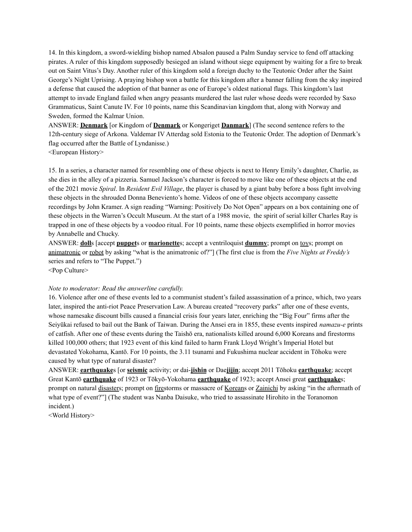14. In this kingdom, a sword-wielding bishop named Absalon paused a Palm Sunday service to fend off attacking pirates. A ruler of this kingdom supposedly besieged an island without siege equipment by waiting for a fire to break out on Saint Vitus's Day. Another ruler of this kingdom sold a foreign duchy to the Teutonic Order after the Saint George's Night Uprising. A praying bishop won a battle for this kingdom after a banner falling from the sky inspired a defense that caused the adoption of that banner as one of Europe's oldest national flags. This kingdom's last attempt to invade England failed when angry peasants murdered the last ruler whose deeds were recorded by Saxo Grammaticus, Saint Canute IV. For 10 points, name this Scandinavian kingdom that, along with Norway and Sweden, formed the Kalmar Union.

ANSWER: **Denmark** [or Kingdom of **Denmark** or Kongeriget **Danmark**] (The second sentence refers to the 12th-century siege of Arkona. Valdemar IV Atterdag sold Estonia to the Teutonic Order. The adoption of Denmark's flag occurred after the Battle of Lyndanisse.)

<European History>

15. In a series, a character named for resembling one of these objects is next to Henry Emily's daughter, Charlie, as she dies in the alley of a pizzeria. Samuel Jackson's character is forced to move like one of these objects at the end of the 2021 movie *Spiral*. In *Resident Evil Village*, the player is chased by a giant baby before a boss fight involving these objects in the shrouded Donna Beneviento's home. Videos of one of these objects accompany cassette recordings by John Kramer. A sign reading "Warning: Positively Do Not Open" appears on a box containing one of these objects in the Warren's Occult Museum. At the start of a 1988 movie, the spirit of serial killer Charles Ray is trapped in one of these objects by a voodoo ritual. For 10 points, name these objects exemplified in horror movies by Annabelle and Chucky.

ANSWER: **doll**s [accept **puppet**s or **marionette**s; accept a ventriloquist **dummy**; prompt on toys; prompt on animatronic or robot by asking "what is the animatronic of?"] (The first clue is from the *Five Nights at Freddy's* series and refers to "The Puppet.")

<Pop Culture>

### *Note to moderator: Read the answerline carefully.*

16. Violence after one of these events led to a communist student's failed assassination of a prince, which, two years later, inspired the anti-riot Peace Preservation Law. A bureau created "recovery parks" after one of these events, whose namesake discount bills caused a financial crisis four years later, enriching the "Big Four" firms after the Seiyūkai refused to bail out the Bank of Taiwan. During the Ansei era in 1855, these events inspired *namazu-e* prints of catfish. After one of these events during the Taishō era, nationalists killed around 6,000 Koreans and firestorms killed 100,000 others; that 1923 event of this kind failed to harm Frank Lloyd Wright's Imperial Hotel but devastated Yokohama, Kantō. For 10 points, the 3.11 tsunami and Fukushima nuclear accident in Tōhoku were caused by what type of natural disaster?

ANSWER: **earthquake**s [or **seismic** activity; or dai-**jishin** or Dae**jijin**; accept 2011 Tōhoku **earthquake**; accept Great Kantō **earthquake** of 1923 or Tōkyō-Yokohama **earthquake** of 1923; accept Ansei great **earthquake**s; prompt on natural disasters; prompt on firestorms or massacre of Koreans or Zainichi by asking "in the aftermath of what type of event?"] (The student was Nanba Daisuke, who tried to assassinate Hirohito in the Toranomon incident.)

<World History>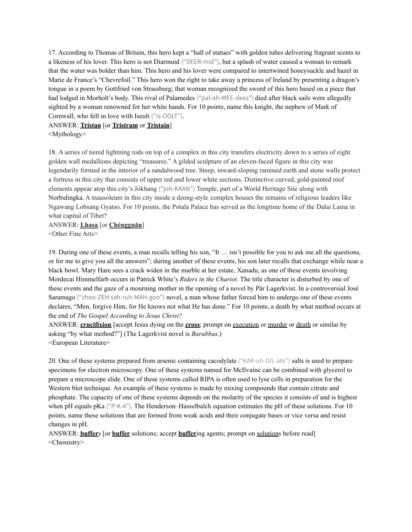17. According to Thomas of Britain, this hero kept a "hall of statues" with golden tubes delivering fragrant scents to a likeness of his lover. This hero is not Diarmuid ("DEER-mid"), but a splash of water caused a woman to remark that the water was bolder than him. This hero and his lover were compared to intertwined honeysuckle and hazel in Marie de France's "Chevrefoil." This hero won the right to take away a princess of Ireland by presenting a dragon's tongue in a poem by Gottfried von Strassburg; that woman recognized the sword of this hero based on a piece that had lodged in Morholt's body. This rival of Palamedes ("pal-ah-MEE-deez") died after black sails were allegedly sighted by a woman renowned for her white hands. For 10 points, name this knight, the nephew of Mark of Cornwall, who fell in love with Iseult ("is-OOLT").

# ANSWER: **Tristan** [or **Tristram** or **Tristain**]

<Mythology>

18. A series of tiered lightning rods on top of a complex in this city transfers electricity down to a series of eight golden wall medallions depicting "treasures." A gilded sculpture of an eleven-faced figure in this city was legendarily formed in the interior of a sandalwood tree. Steep, inward-sloping rammed earth and stone walls protect a fortress in this city that consists of upper red and lower white sections. Distinctive curved, gold-painted roof elements appear atop this city's Jokhang ("joh-KAAN") Temple, part of a World Heritage Site along with Norbulingka. A mausoleum in this city inside a dzong-style complex houses the remains of religious leaders like Ngawang Lobsang Gyatso. For 10 points, the Potala Palace has served as the longtime home of the Dalai Lama in what capital of Tibet?

ANSWER: **Lhasa** [or **Chéngguān**] <Other Fine Arts>

19. During one of these events, a man recalls telling his son, "It … isn't possible for you to ask me all the questions, or for me to give you all the answers"; during another of these events, his son later recalls that exchange while near a black bowl. Mary Hare sees a crack widen in the marble at her estate, Xanadu, as one of these events involving Mordecai Himmelfarb occurs in Patrick White's *Riders in the Chariot*. The title character is disturbed by one of these events and the gaze of a mourning mother in the opening of a novel by Pär Lagerkvist. In a controversial José Saramago ("zhoo-ZEH sah-ruh-MAH-goo") novel, a man whose father forced him to undergo one of these events declares, "Men, forgive Him, for He knows not what He has done." For 10 points, a death by what method occurs at the end of *The Gospel According to Jesus Christ?*

ANSWER: **crucifixion** [accept Jesus dying on the **cross**; prompt on execution or murder or death or similar by asking "by what method?"] (The Lagerkvist novel is *Barabbas*.) <European Literature>

20. One of these systems prepared from arsenic containing cacodylate ("KAK-uh-DIL-ate") salts is used to prepare specimens for electron microscopy. One of these systems named for McIlvaine can be combined with glycerol to prepare a microscope slide. One of these systems called RIPA is often used to lyse cells in preparation for the Western blot technique. An example of these systems is made by mixing compounds that contain citrate and phosphate. The capacity of one of these systems depends on the molarity of the species it consists of and is highest when pH equals pKa ("P-K-A"). The Henderson–Hasselbalch equation estimates the pH of these solutions. For 10 points, name these solutions that are formed from weak acids and their conjugate bases or vice versa and resist changes in pH.

ANSWER: **buffer**s [or **buffer** solutions; accept **buffer**ing agents; prompt on solutions before read] <Chemistry>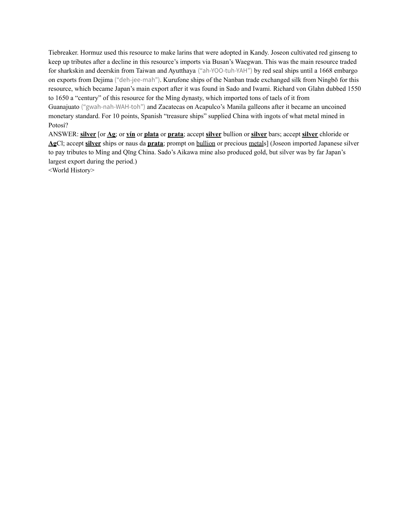Tiebreaker. Hormuz used this resource to make larins that were adopted in Kandy. Joseon cultivated red ginseng to keep up tributes after a decline in this resource's imports via Busan's Waegwan. This was the main resource traded for sharkskin and deerskin from Taiwan and Ayutthaya ("ah-YOO-tuh-YAH") by red seal ships until a 1668 embargo on exports from Dejima ("deh-jee-mah"). Kurufone ships of the Nanban trade exchanged silk from Níngbō for this resource, which became Japan's main export after it was found in Sado and Iwami. Richard von Glahn dubbed 1550 to 1650 a "century" of this resource for the Míng dynasty, which imported tons of taels of it from Guanajuato ("gwah-nah-WAH-toh") and Zacatecas on Acapulco's Manila galleons after it became an uncoined monetary standard. For 10 points, Spanish "treasure ships" supplied China with ingots of what metal mined in Potosí?

ANSWER: **silver** [or **Ag**; or **yín** or **plata** or **prata**; accept **silver** bullion or **silver** bars; accept **silver** chloride or **Ag**Cl; accept **silver** ships or naus da **prata**; prompt on bullion or precious metals] (Joseon imported Japanese silver to pay tributes to Míng and Qīng China. Sado's Aikawa mine also produced gold, but silver was by far Japan's largest export during the period.)

<World History>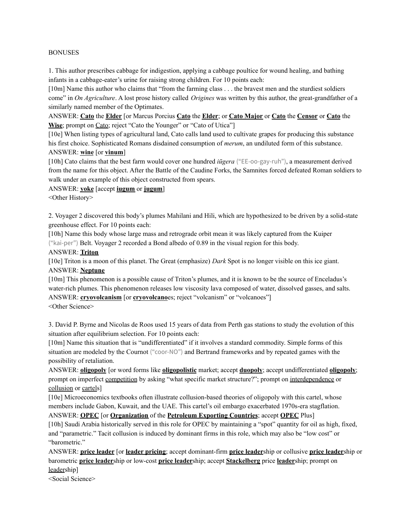### BONUSES

1. This author prescribes cabbage for indigestion, applying a cabbage poultice for wound healing, and bathing infants in a cabbage-eater's urine for raising strong children. For 10 points each:

[10m] Name this author who claims that "from the farming class . . . the bravest men and the sturdiest soldiers come" in *On Agriculture*. A lost prose history called *Origines* was written by this author, the great-grandfather of a similarly named member of the Optimates.

ANSWER: **Cato** the **Elder** [or Marcus Porcius **Cato** the **Elder**; or **Cato Major** or **Cato** the **Censor** or **Cato** the **Wise**; prompt on Cato; reject "Cato the Younger" or "Cato of Utica"]

[10e] When listing types of agricultural land, Cato calls land used to cultivate grapes for producing this substance his first choice. Sophisticated Romans disdained consumption of *merum*, an undiluted form of this substance. ANSWER: **wine** [or **vinum**]

[10h] Cato claims that the best farm would cover one hundred *iūgera* ("EE-oo-gay-ruh"), a measurement derived from the name for this object. After the Battle of the Caudine Forks, the Samnites forced defeated Roman soldiers to walk under an example of this object constructed from spears.

ANSWER: **yoke** [accept **iugum** or **jugum**]

<Other History>

2. Voyager 2 discovered this body's plumes Mahilani and Hili, which are hypothesized to be driven by a solid-state greenhouse effect. For 10 points each:

[10h] Name this body whose large mass and retrograde orbit mean it was likely captured from the Kuiper ("kai-per") Belt. Voyager 2 recorded a Bond albedo of 0.89 in the visual region for this body.

### ANSWER: **Triton**

[10e] Triton is a moon of this planet. The Great (emphasize) *Dark* Spot is no longer visible on this ice giant. ANSWER: **Neptune**

[10m] This phenomenon is a possible cause of Triton's plumes, and it is known to be the source of Enceladus's water-rich plumes. This phenomenon releases low viscosity lava composed of water, dissolved gasses, and salts. ANSWER: **cryovolcanism** [or **cryovolcano**es; reject "volcanism" or "volcanoes"]

<Other Science>

3. David P. Byrne and Nicolas de Roos used 15 years of data from Perth gas stations to study the evolution of this situation after equilibrium selection. For 10 points each:

[10m] Name this situation that is "undifferentiated" if it involves a standard commodity. Simple forms of this situation are modeled by the Cournot ("coor-NO") and Bertrand frameworks and by repeated games with the possibility of retaliation.

ANSWER: **oligopoly** [or word forms like **oligopolistic** market; accept **duopoly**; accept undifferentiated **oligopoly**; prompt on imperfect competition by asking "what specific market structure?"; prompt on interdependence or collusion or cartels]

[10e] Microeconomics textbooks often illustrate collusion-based theories of oligopoly with this cartel, whose members include Gabon, Kuwait, and the UAE. This cartel's oil embargo exacerbated 1970s-era stagflation.

ANSWER: **OPEC** [or **Organization** of the **Petroleum Exporting Countries**; accept **OPEC** Plus] [10h] Saudi Arabia historically served in this role for OPEC by maintaining a "spot" quantity for oil as high, fixed, and "parametric." Tacit collusion is induced by dominant firms in this role, which may also be "low cost" or "barometric."

ANSWER: **price leader** [or **leader pricing**; accept dominant-firm **price leader**ship or collusive **price leader**ship or barometric **price leader**ship or low-cost **price leader**ship; accept **Stackelberg** price **leader**ship; prompt on leadership]

<Social Science>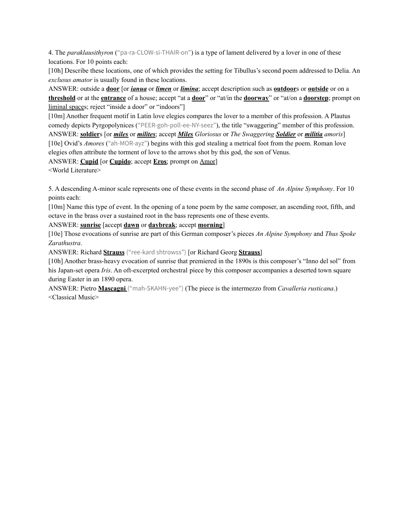4. The *paraklausithyron* ("pa-ra-CLOW-si-THAIR-on") is a type of lament delivered by a lover in one of these locations. For 10 points each:

[10h] Describe these locations, one of which provides the setting for Tibullus's second poem addressed to Delia. An *exclusus amator* is usually found in these locations.

ANSWER: outside a **door** [or *ianua* or *limen* or *limina*; accept description such as **outdoor**s or **outside** or on a **threshold** or at the **entrance** of a house; accept "at a **door**" or "at/in the **doorway**" or "at/on a **doorstep**; prompt on liminal spaces; reject "inside a door" or "indoors"]

[10m] Another frequent motif in Latin love elegies compares the lover to a member of this profession. A Plautus comedy depicts Pyrgopolynices ("PEER-goh-poll-ee-NY-seez"), the title "swaggering" member of this profession. ANSWER: **soldier**s [or *miles* or *milites*; accept *Miles Gloriosus* or *The Swaggering Soldier* or *militia amoris*] [10e] Ovid's *Amores* ("ah-MOR-ayz") begins with this god stealing a metrical foot from the poem. Roman love elegies often attribute the torment of love to the arrows shot by this god, the son of Venus.

ANSWER: **Cupid** [or **Cupido**; accept **Eros**; prompt on Amor]

<World Literature>

5. A descending A-minor scale represents one of these events in the second phase of *An Alpine Symphony*. For 10 points each:

[10m] Name this type of event. In the opening of a tone poem by the same composer, an ascending root, fifth, and octave in the brass over a sustained root in the bass represents one of these events.

ANSWER: **sunrise** [accept **dawn** or **daybreak**; accept **morning**]

[10e] Those evocations of sunrise are part of this German composer's pieces *An Alpine Symphony* and *Thus Spoke Zarathustra*.

ANSWER: Richard **Strauss** ("ree-kard shtrowss") [or Richard Georg **Strauss**]

[10h] Another brass-heavy evocation of sunrise that premiered in the 1890s is this composer's "Inno del sol" from his Japan-set opera *Iris*. An oft-excerpted orchestral piece by this composer accompanies a deserted town square during Easter in an 1890 opera.

ANSWER: Pietro **Mascagni** ("mah-SKAHN-yee") (The piece is the intermezzo from *Cavalleria rusticana*.) <Classical Music>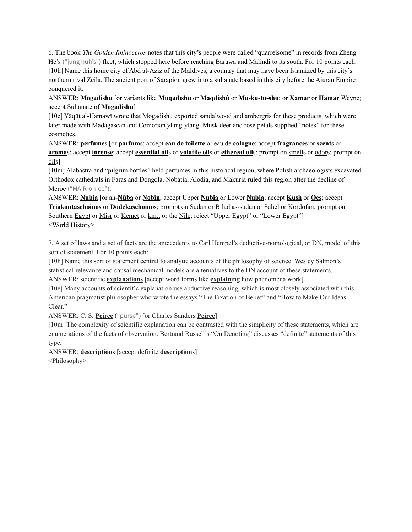6. The book *The Golden Rhinoceros* notes that this city's people were called "quarrelsome" in records from Zhèng Hé's ("jung huh's") fleet, which stopped here before reaching Barawa and Malindi to its south. For 10 points each: [10h] Name this home city of Abd al-Aziz of the Maldives, a country that may have been Islamized by this city's northern rival Zeila. The ancient port of Sarapion grew into a sultanate based in this city before the Ajuran Empire conquered it.

ANSWER: **Mogadishu** [or variants like **Muqadīshū** or **Maqdishû** or **Mu-ku-tu-shu**; or **Xamar** or **Hamar** Weyne; accept Sultanate of **Mogadishu**]

[10e] Yāqūt al-Hamawī wrote that Mogadishu exported sandalwood and ambergris for these products, which were later made with Madagascan and Comorian ylang-ylang. Musk deer and rose petals supplied "notes" for these cosmetics.

ANSWER: **perfume**s [or **parfum**s; accept **eau de toilette** or eau de **cologne**; accept **fragrance**s or **scent**s or **aroma**s; accept **incense**; accept **essential oil**s or **volatile oil**s or **ethereal oil**s; prompt on smells or odors; prompt on oils]

[10m] Alabastra and "pilgrim bottles" held perfumes in this historical region, where Polish archaeologists excavated Orthodox cathedrals in Faras and Dongola. Nobatia, Alodia, and Makuria ruled this region after the decline of Meroë ("MAIR-oh-ee").

ANSWER: **Nubia** [or an-**Nūba** or **Nobīn**; accept Upper **Nubia** or Lower **Nubia**; accept **Kush** or **Qes**; accept **Triakontaschoinos** or **Dodekaschoinos**; prompt on Sudan or Bilād as-sūdān or Sahel or Kordofan; prompt on Southern Egypt or Misr or Kemet or km.t or the Nile; reject "Upper Egypt" or "Lower Egypt"] <World History>

7. A set of laws and a set of facts are the antecedents to Carl Hempel's deductive-nomological, or DN, model of this sort of statement. For 10 points each:

[10h] Name this sort of statement central to analytic accounts of the philosophy of science. Wesley Salmon's statistical relevance and causal mechanical models are alternatives to the DN account of these statements. ANSWER: scientific **explanations** [accept word forms like **explain**ing how phenomena work]

[10e] Many accounts of scientific explanation use abductive reasoning, which is most closely associated with this American pragmatist philosopher who wrote the essays "The Fixation of Belief" and "How to Make Our Ideas Clear."

ANSWER: C. S. **Peirce** ("purse") [or Charles Sanders **Peirce**]

[10m] The complexity of scientific explanation can be contrasted with the simplicity of these statements, which are enumerations of the facts of observation. Bertrand Russell's "On Denoting" discusses "definite" statements of this type.

ANSWER: **description**s [accept definite **description**s]

<Philosophy>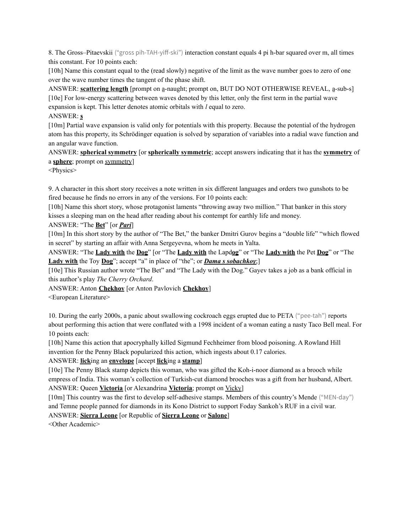8. The Gross–Pitaevskii ("gross pih-TAH-yiff-ski") interaction constant equals 4 pi h-bar squared over m, all times this constant. For 10 points each:

[10h] Name this constant equal to the (read slowly) negative of the limit as the wave number goes to zero of one over the wave number times the tangent of the phase shift.

ANSWER: **scattering length** [prompt on a-naught; prompt on, BUT DO NOT OTHERWISE REVEAL, a-sub-s] [10e] For low-energy scattering between waves denoted by this letter, only the first term in the partial wave expansion is kept. This letter denotes atomic orbitals with *l* equal to zero.

### ANSWER: **s**

[10m] Partial wave expansion is valid only for potentials with this property. Because the potential of the hydrogen atom has this property, its Schrödinger equation is solved by separation of variables into a radial wave function and an angular wave function.

ANSWER: **spherical symmetry** [or **spherically symmetric**; accept answers indicating that it has the **symmetry** of a **sphere**; prompt on symmetry]

<Physics>

9. A character in this short story receives a note written in six different languages and orders two gunshots to be fired because he finds no errors in any of the versions. For 10 points each:

[10h] Name this short story, whose protagonist laments "throwing away two million." That banker in this story kisses a sleeping man on the head after reading about his contempt for earthly life and money.

## ANSWER: "The **Bet**" [or *Pari*]

[10m] In this short story by the author of "The Bet," the banker Dmitri Gurov begins a "double life" "which flowed in secret" by starting an affair with Anna Sergeyevna, whom he meets in Yalta.

ANSWER: "The **Lady with** the **Dog**" [or "The **Lady with** the Lapd**og**" or "The **Lady with** the Pet **Dog**" or "The **Lady with** the Toy **Dog**"; accept "a" in place of "the"; or *Dama s sobachkoy*;]

[10e] This Russian author wrote "The Bet" and "The Lady with the Dog." Gayev takes a job as a bank official in this author's play *The Cherry Orchard*.

ANSWER: Anton **Chekhov** [or Anton Pavlovich **Chekhov**]

<European Literature>

10. During the early 2000s, a panic about swallowing cockroach eggs erupted due to PETA ("pee-tah") reports about performing this action that were conflated with a 1998 incident of a woman eating a nasty Taco Bell meal. For 10 points each:

[10h] Name this action that apocryphally killed Sigmund Fechheimer from blood poisoning. A Rowland Hill invention for the Penny Black popularized this action, which ingests about 0.17 calories.

## ANSWER: **lick**ing an **envelope** [accept **lick**ing a **stamp**]

[10e] The Penny Black stamp depicts this woman, who was gifted the Koh-i-noor diamond as a brooch while empress of India. This woman's collection of Turkish-cut diamond brooches was a gift from her husband, Albert. ANSWER: Queen **Victoria** [or Alexandrina **Victoria**; prompt on Vicky]

[10m] This country was the first to develop self-adhesive stamps. Members of this country's Mende ("MEN-day") and Temne people panned for diamonds in its Kono District to support Foday Sankoh's RUF in a civil war.

# ANSWER: **Sierra Leone** [or Republic of **Sierra Leone** or **Salone**]

<Other Academic>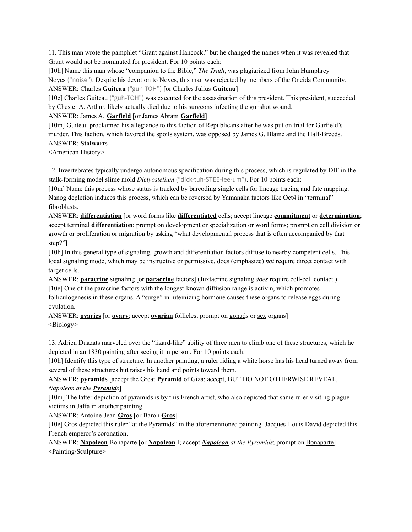11. This man wrote the pamphlet "Grant against Hancock," but he changed the names when it was revealed that Grant would not be nominated for president. For 10 points each:

[10h] Name this man whose "companion to the Bible," *The Truth*, was plagiarized from John Humphrey Noyes ("noise"). Despite his devotion to Noyes, this man was rejected by members of the Oneida Community. ANSWER: Charles **Guiteau** ("guh-TOH") [or Charles Julius **Guiteau**]

[10e] Charles Guiteau ("guh-TOH") was executed for the assassination of this president. This president, succeeded by Chester A. Arthur, likely actually died due to his surgeons infecting the gunshot wound.

# ANSWER: James A. **Garfield** [or James Abram **Garfield**]

[10m] Guiteau proclaimed his allegiance to this faction of Republicans after he was put on trial for Garfield's murder. This faction, which favored the spoils system, was opposed by James G. Blaine and the Half-Breeds. ANSWER: **Stalwart**s

<American History>

12. Invertebrates typically undergo autonomous specification during this process, which is regulated by DIF in the stalk-forming model slime mold *Dictyostelium* ("dick-tuh-STEE-lee-um"). For 10 points each:

[10m] Name this process whose status is tracked by barcoding single cells for lineage tracing and fate mapping. Nanog depletion induces this process, which can be reversed by Yamanaka factors like Oct4 in "terminal" fibroblasts.

ANSWER: **differentiation** [or word forms like **differentiated** cells; accept lineage **commitment** or **determination**; accept terminal **differentiation**; prompt on development or specialization or word forms; prompt on cell division or growth or proliferation or migration by asking "what developmental process that is often accompanied by that step?"]

[10h] In this general type of signaling, growth and differentiation factors diffuse to nearby competent cells. This local signaling mode, which may be instructive or permissive, does (emphasize) *not* require direct contact with target cells.

ANSWER: **paracrine** signaling [or **paracrine** factors] (Juxtacrine signaling *does* require cell-cell contact.) [10e] One of the paracrine factors with the longest-known diffusion range is activin, which promotes folliculogenesis in these organs. A "surge" in luteinizing hormone causes these organs to release eggs during ovulation.

ANSWER: **ovaries** [or **ovary**; accept **ovarian** follicles; prompt on gonads or sex organs] <Biology>

13. Adrien Duazats marveled over the "lizard-like" ability of three men to climb one of these structures, which he depicted in an 1830 painting after seeing it in person. For 10 points each:

[10h] Identify this type of structure. In another painting, a ruler riding a white horse has his head turned away from several of these structures but raises his hand and points toward them.

# ANSWER: **pyramid**s [accept the Great **Pyramid** of Giza; accept, BUT DO NOT OTHERWISE REVEAL, *Napoleon at the Pyramids*]

[10m] The latter depiction of pyramids is by this French artist, who also depicted that same ruler visiting plague victims in Jaffa in another painting.

ANSWER: Antoine-Jean **Gros** [or Baron **Gros**]

[10e] Gros depicted this ruler "at the Pyramids" in the aforementioned painting. Jacques-Louis David depicted this French emperor's coronation.

ANSWER: **Napoleon** Bonaparte [or **Napoleon** I; accept *Napoleon at the Pyramids*; prompt on Bonaparte] <Painting/Sculpture>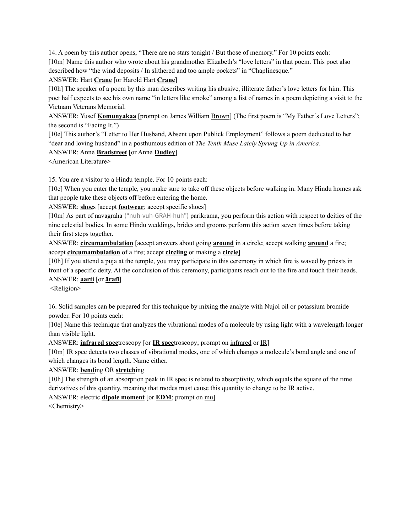14. A poem by this author opens, "There are no stars tonight / But those of memory." For 10 points each: [10m] Name this author who wrote about his grandmother Elizabeth's "love letters" in that poem. This poet also described how "the wind deposits / In slithered and too ample pockets" in "Chaplinesque."

### ANSWER: Hart **Crane** [or Harold Hart **Crane**]

[10h] The speaker of a poem by this man describes writing his abusive, illiterate father's love letters for him. This poet half expects to see his own name "in letters like smoke" among a list of names in a poem depicting a visit to the Vietnam Veterans Memorial.

ANSWER: Yusef **Komunyakaa** [prompt on James William Brown] (The first poem is "My Father's Love Letters"; the second is "Facing It.")

[10e] This author's "Letter to Her Husband, Absent upon Publick Employment" follows a poem dedicated to her "dear and loving husband" in a posthumous edition of *The Tenth Muse Lately Sprung Up in America*.

### ANSWER: Anne **Bradstreet** [or Anne **Dudley**]

<American Literature>

15. You are a visitor to a Hindu temple. For 10 points each:

[10e] When you enter the temple, you make sure to take off these objects before walking in. Many Hindu homes ask that people take these objects off before entering the home.

ANSWER: **shoe**s [accept **footwear**; accept specific shoes]

[10m] As part of navagraha ("nuh-vuh-GRAH-huh") parikrama, you perform this action with respect to deities of the nine celestial bodies. In some Hindu weddings, brides and grooms perform this action seven times before taking their first steps together.

ANSWER: **circumambulation** [accept answers about going **around** in a circle; accept walking **around** a fire; accept **circumambulation** of a fire; accept **circling** or making a **circle**]

[10h] If you attend a puja at the temple, you may participate in this ceremony in which fire is waved by priests in front of a specific deity. At the conclusion of this ceremony, participants reach out to the fire and touch their heads. ANSWER: **aarti** [or **āratī**]

<Religion>

16. Solid samples can be prepared for this technique by mixing the analyte with Nujol oil or potassium bromide powder. For 10 points each:

[10e] Name this technique that analyzes the vibrational modes of a molecule by using light with a wavelength longer than visible light.

ANSWER: **infrared spec**troscopy [or **IR spec**troscopy; prompt on infrared or IR]

[10m] IR spec detects two classes of vibrational modes, one of which changes a molecule's bond angle and one of which changes its bond length. Name either.

## ANSWER: **bend**ing OR **stretch**ing

[10h] The strength of an absorption peak in IR spec is related to absorptivity, which equals the square of the time derivatives of this quantity, meaning that modes must cause this quantity to change to be IR active.

ANSWER: electric **dipole moment** [or **EDM**; prompt on mu]

<Chemistry>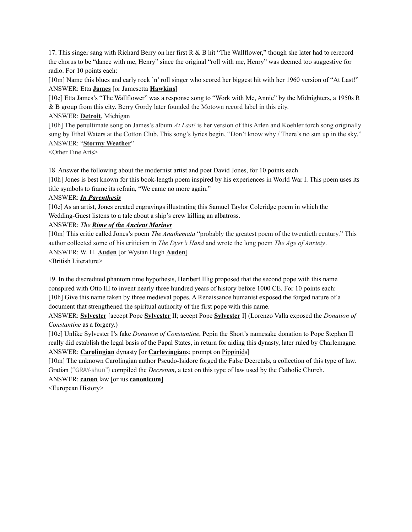17. This singer sang with Richard Berry on her first R & B hit "The Wallflower," though she later had to rerecord the chorus to be "dance with me, Henry" since the original "roll with me, Henry" was deemed too suggestive for radio. For 10 points each:

[10m] Name this blues and early rock 'n' roll singer who scored her biggest hit with her 1960 version of "At Last!" ANSWER: Etta **James** [or Jamesetta **Hawkins**]

[10e] Etta James's "The Wallflower" was a response song to "Work with Me, Annie" by the Midnighters, a 1950s R & B group from this city. Berry Gordy later founded the Motown record label in this city.

## ANSWER: **Detroit**, Michigan

[10h] The penultimate song on James's album *At Last!* is her version of this Arlen and Koehler torch song originally sung by Ethel Waters at the Cotton Club. This song's lyrics begin, "Don't know why / There's no sun up in the sky." ANSWER: "**Stormy Weather**"

<Other Fine Arts>

18. Answer the following about the modernist artist and poet David Jones, for 10 points each.

[10h] Jones is best known for this book-length poem inspired by his experiences in World War I. This poem uses its title symbols to frame its refrain, "We came no more again."

### ANSWER: *In Parenthesis*

[10e] As an artist, Jones created engravings illustrating this Samuel Taylor Coleridge poem in which the Wedding-Guest listens to a tale about a ship's crew killing an albatross.

ANSWER: *The Rime of the Ancient Mariner*

[10m] This critic called Jones's poem *The Anathemata* "probably the greatest poem of the twentieth century." This author collected some of his criticism in *The Dyer's Hand* and wrote the long poem *The Age of Anxiety*. ANSWER: W. H. **Auden** [or Wystan Hugh **Auden**] <British Literature>

19. In the discredited phantom time hypothesis, Heribert Illig proposed that the second pope with this name conspired with Otto III to invent nearly three hundred years of history before 1000 CE. For 10 points each: [10h] Give this name taken by three medieval popes. A Renaissance humanist exposed the forged nature of a document that strengthened the spiritual authority of the first pope with this name.

ANSWER: **Sylvester** [accept Pope **Sylvester** II; accept Pope **Sylvester** I] (Lorenzo Valla exposed the *Donation of Constantine* as a forgery.)

[10e] Unlike Sylvester I's fake *Donation of Constantine*, Pepin the Short's namesake donation to Pope Stephen II really did establish the legal basis of the Papal States, in return for aiding this dynasty, later ruled by Charlemagne. ANSWER: **Carolingian** dynasty [or **Carlovingian**s; prompt on Pippinids]

[10m] The unknown Carolingian author Pseudo-Isidore forged the False Decretals, a collection of this type of law. Gratian ("GRAY-shun") compiled the *Decretum*, a text on this type of law used by the Catholic Church.

ANSWER: **canon** law [or ius **canonicum**]

<European History>